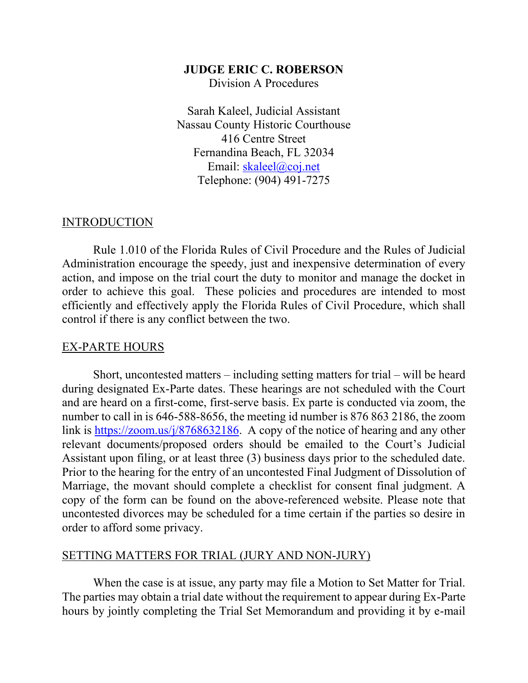#### **JUDGE ERIC C. ROBERSON**

Division A Procedures

Sarah Kaleel, Judicial Assistant Nassau County Historic Courthouse 416 Centre Street Fernandina Beach, FL 32034 Email: [skaleel@coj.net](mailto:skaleel@coj.net) Telephone: (904) 491-7275

#### INTRODUCTION

Rule 1.010 of the Florida Rules of Civil Procedure and the Rules of Judicial Administration encourage the speedy, just and inexpensive determination of every action, and impose on the trial court the duty to monitor and manage the docket in order to achieve this goal. These policies and procedures are intended to most efficiently and effectively apply the Florida Rules of Civil Procedure, which shall control if there is any conflict between the two.

#### EX-PARTE HOURS

Short, uncontested matters – including setting matters for trial – will be heard during designated Ex-Parte dates. These hearings are not scheduled with the Court and are heard on a first-come, first-serve basis. Ex parte is conducted via zoom, the number to call in is 646-588-8656, the meeting id number is 876 863 2186, the zoom link is [https://zoom.us/j/8768632186.](https://zoom.us/j/8768632186) A copy of the notice of hearing and any other relevant documents/proposed orders should be emailed to the Court's Judicial Assistant upon filing, or at least three (3) business days prior to the scheduled date. Prior to the hearing for the entry of an uncontested Final Judgment of Dissolution of Marriage, the movant should complete a checklist for consent final judgment. A copy of the form can be found on the above-referenced website. Please note that uncontested divorces may be scheduled for a time certain if the parties so desire in order to afford some privacy.

#### SETTING MATTERS FOR TRIAL (JURY AND NON-JURY)

When the case is at issue, any party may file a Motion to Set Matter for Trial. The parties may obtain a trial date without the requirement to appear during Ex-Parte hours by jointly completing the Trial Set Memorandum and providing it by e-mail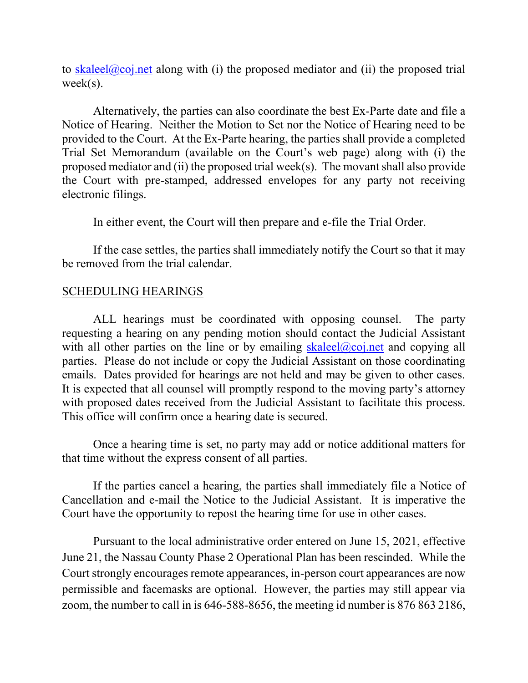to [skaleel@coj.net](mailto:skaleel@coj.net) along with (i) the proposed mediator and (ii) the proposed trial week(s).

Alternatively, the parties can also coordinate the best Ex-Parte date and file a Notice of Hearing. Neither the Motion to Set nor the Notice of Hearing need to be provided to the Court. At the Ex-Parte hearing, the parties shall provide a completed Trial Set Memorandum (available on the Court's web page) along with (i) the proposed mediator and (ii) the proposed trial week(s). The movant shall also provide the Court with pre-stamped, addressed envelopes for any party not receiving electronic filings.

In either event, the Court will then prepare and e-file the Trial Order.

If the case settles, the parties shall immediately notify the Court so that it may be removed from the trial calendar.

### SCHEDULING HEARINGS

ALL hearings must be coordinated with opposing counsel. The party requesting a hearing on any pending motion should contact the Judicial Assistant with all other parties on the line or by emailing [skaleel@coj.net](mailto:skaleel@coj.net) and copying all parties. Please do not include or copy the Judicial Assistant on those coordinating emails. Dates provided for hearings are not held and may be given to other cases. It is expected that all counsel will promptly respond to the moving party's attorney with proposed dates received from the Judicial Assistant to facilitate this process. This office will confirm once a hearing date is secured.

Once a hearing time is set, no party may add or notice additional matters for that time without the express consent of all parties.

If the parties cancel a hearing, the parties shall immediately file a Notice of Cancellation and e-mail the Notice to the Judicial Assistant. It is imperative the Court have the opportunity to repost the hearing time for use in other cases.

Pursuant to the local administrative order entered on June 15, 2021, effective June 21, the Nassau County Phase 2 Operational Plan has been rescinded. While the Court strongly encourages remote appearances, in-person court appearances are now permissible and facemasks are optional. However, the parties may still appear via zoom, the number to call in is 646-588-8656, the meeting id number is 876 863 2186,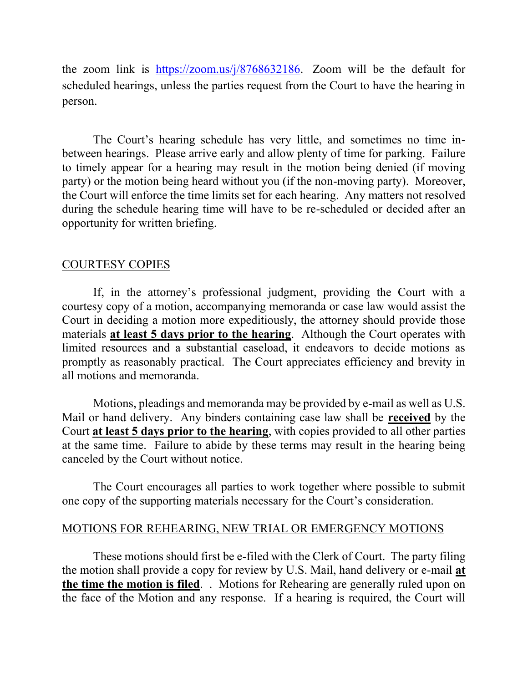the zoom link is [https://zoom.us/j/8768632186.](https://zoom.us/j/8768632186) Zoom will be the default for scheduled hearings, unless the parties request from the Court to have the hearing in person.

The Court's hearing schedule has very little, and sometimes no time inbetween hearings. Please arrive early and allow plenty of time for parking. Failure to timely appear for a hearing may result in the motion being denied (if moving party) or the motion being heard without you (if the non-moving party). Moreover, the Court will enforce the time limits set for each hearing. Any matters not resolved during the schedule hearing time will have to be re-scheduled or decided after an opportunity for written briefing.

# COURTESY COPIES

If, in the attorney's professional judgment, providing the Court with a courtesy copy of a motion, accompanying memoranda or case law would assist the Court in deciding a motion more expeditiously, the attorney should provide those materials **at least 5 days prior to the hearing**. Although the Court operates with limited resources and a substantial caseload, it endeavors to decide motions as promptly as reasonably practical. The Court appreciates efficiency and brevity in all motions and memoranda.

Motions, pleadings and memoranda may be provided by e-mail as well as U.S. Mail or hand delivery. Any binders containing case law shall be **received** by the Court **at least 5 days prior to the hearing**, with copies provided to all other parties at the same time. Failure to abide by these terms may result in the hearing being canceled by the Court without notice.

The Court encourages all parties to work together where possible to submit one copy of the supporting materials necessary for the Court's consideration.

## MOTIONS FOR REHEARING, NEW TRIAL OR EMERGENCY MOTIONS

These motions should first be e-filed with the Clerk of Court. The party filing the motion shall provide a copy for review by U.S. Mail, hand delivery or e-mail **at the time the motion is filed**. . Motions for Rehearing are generally ruled upon on the face of the Motion and any response. If a hearing is required, the Court will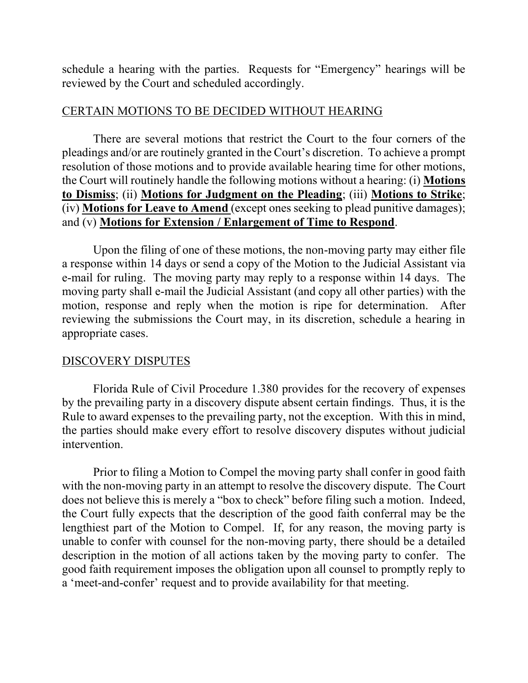schedule a hearing with the parties. Requests for "Emergency" hearings will be reviewed by the Court and scheduled accordingly.

### CERTAIN MOTIONS TO BE DECIDED WITHOUT HEARING

There are several motions that restrict the Court to the four corners of the pleadings and/or are routinely granted in the Court's discretion. To achieve a prompt resolution of those motions and to provide available hearing time for other motions, the Court will routinely handle the following motions without a hearing: (i) **Motions to Dismiss**; (ii) **Motions for Judgment on the Pleading**; (iii) **Motions to Strike**; (iv) **Motions for Leave to Amend** (except ones seeking to plead punitive damages); and (v) **Motions for Extension / Enlargement of Time to Respond**.

Upon the filing of one of these motions, the non-moving party may either file a response within 14 days or send a copy of the Motion to the Judicial Assistant via e-mail for ruling. The moving party may reply to a response within 14 days. The moving party shall e-mail the Judicial Assistant (and copy all other parties) with the motion, response and reply when the motion is ripe for determination. After reviewing the submissions the Court may, in its discretion, schedule a hearing in appropriate cases.

## DISCOVERY DISPUTES

Florida Rule of Civil Procedure 1.380 provides for the recovery of expenses by the prevailing party in a discovery dispute absent certain findings. Thus, it is the Rule to award expenses to the prevailing party, not the exception. With this in mind, the parties should make every effort to resolve discovery disputes without judicial intervention.

Prior to filing a Motion to Compel the moving party shall confer in good faith with the non-moving party in an attempt to resolve the discovery dispute. The Court does not believe this is merely a "box to check" before filing such a motion. Indeed, the Court fully expects that the description of the good faith conferral may be the lengthiest part of the Motion to Compel. If, for any reason, the moving party is unable to confer with counsel for the non-moving party, there should be a detailed description in the motion of all actions taken by the moving party to confer. The good faith requirement imposes the obligation upon all counsel to promptly reply to a 'meet-and-confer' request and to provide availability for that meeting.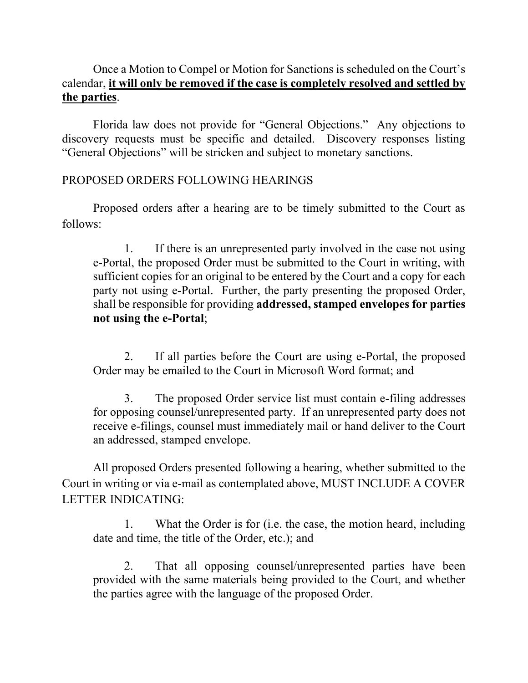# Once a Motion to Compel or Motion for Sanctions is scheduled on the Court's calendar, **it will only be removed if the case is completely resolved and settled by the parties**.

Florida law does not provide for "General Objections." Any objections to discovery requests must be specific and detailed. Discovery responses listing "General Objections" will be stricken and subject to monetary sanctions.

## PROPOSED ORDERS FOLLOWING HEARINGS

Proposed orders after a hearing are to be timely submitted to the Court as follows:

1. If there is an unrepresented party involved in the case not using e-Portal, the proposed Order must be submitted to the Court in writing, with sufficient copies for an original to be entered by the Court and a copy for each party not using e-Portal. Further, the party presenting the proposed Order, shall be responsible for providing **addressed, stamped envelopes for parties not using the e-Portal**;

2. If all parties before the Court are using e-Portal, the proposed Order may be emailed to the Court in Microsoft Word format; and

3. The proposed Order service list must contain e-filing addresses for opposing counsel/unrepresented party. If an unrepresented party does not receive e-filings, counsel must immediately mail or hand deliver to the Court an addressed, stamped envelope.

All proposed Orders presented following a hearing, whether submitted to the Court in writing or via e-mail as contemplated above, MUST INCLUDE A COVER LETTER INDICATING:

1. What the Order is for (i.e. the case, the motion heard, including date and time, the title of the Order, etc.); and

2. That all opposing counsel/unrepresented parties have been provided with the same materials being provided to the Court, and whether the parties agree with the language of the proposed Order.